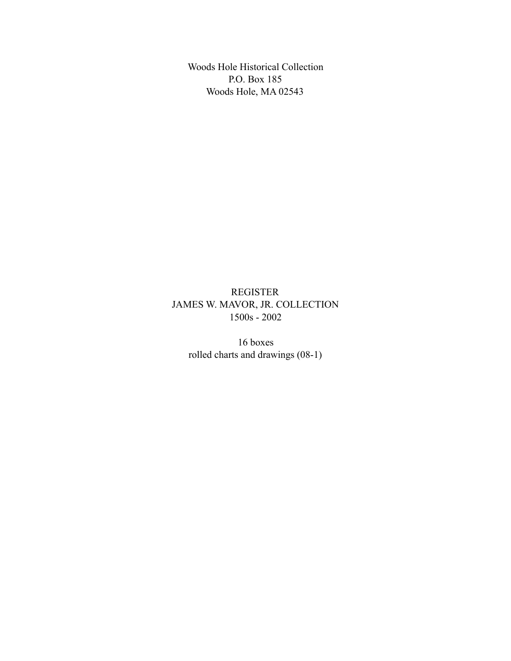Woods Hole Historical Collection P.O. Box 185 Woods Hole, MA 02543

REGISTER JAMES W. MAVOR, JR. COLLECTION 1500s - 2002

16 boxes rolled charts and drawings (08-1)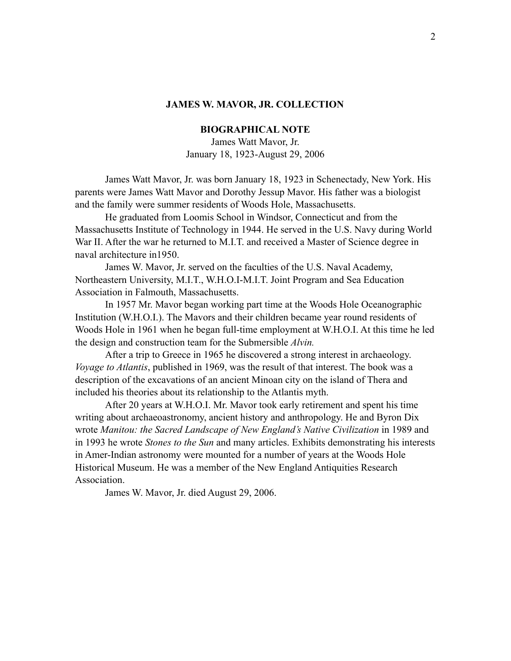## **BIOGRAPHICAL NOTE**

James Watt Mavor, Jr. January 18, 1923-August 29, 2006

James Watt Mavor, Jr. was born January 18, 1923 in Schenectady, New York. His parents were James Watt Mavor and Dorothy Jessup Mavor. His father was a biologist and the family were summer residents of Woods Hole, Massachusetts.

He graduated from Loomis School in Windsor, Connecticut and from the Massachusetts Institute of Technology in 1944. He served in the U.S. Navy during World War II. After the war he returned to M.I.T. and received a Master of Science degree in naval architecture in1950.

James W. Mavor, Jr. served on the faculties of the U.S. Naval Academy, Northeastern University, M.I.T., W.H.O.I-M.I.T. Joint Program and Sea Education Association in Falmouth, Massachusetts.

In 1957 Mr. Mavor began working part time at the Woods Hole Oceanographic Institution (W.H.O.I.). The Mavors and their children became year round residents of Woods Hole in 1961 when he began full-time employment at W.H.O.I. At this time he led the design and construction team for the Submersible *Alvin.* 

After a trip to Greece in 1965 he discovered a strong interest in archaeology. *Voyage to Atlantis*, published in 1969, was the result of that interest. The book was a description of the excavations of an ancient Minoan city on the island of Thera and included his theories about its relationship to the Atlantis myth.

After 20 years at W.H.O.I. Mr. Mavor took early retirement and spent his time writing about archaeoastronomy, ancient history and anthropology. He and Byron Dix wrote *Manitou: the Sacred Landscape of New England's Native Civilization* in 1989 and in 1993 he wrote *Stones to the Sun* and many articles. Exhibits demonstrating his interests in Amer-Indian astronomy were mounted for a number of years at the Woods Hole Historical Museum. He was a member of the New England Antiquities Research Association.

James W. Mavor, Jr. died August 29, 2006.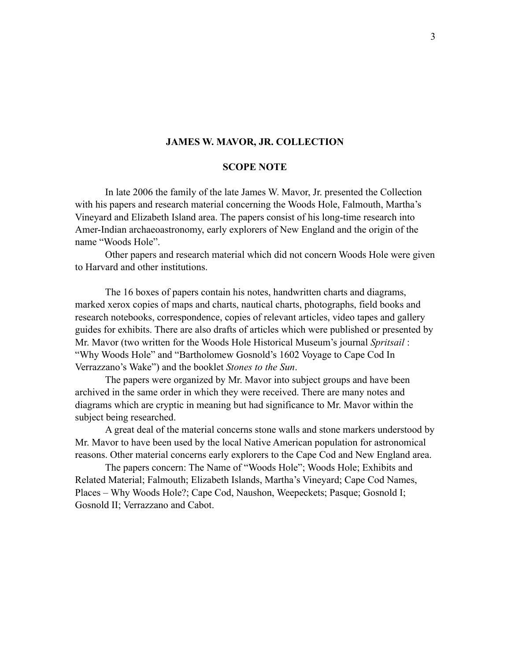#### **SCOPE NOTE**

In late 2006 the family of the late James W. Mavor, Jr. presented the Collection with his papers and research material concerning the Woods Hole, Falmouth, Martha's Vineyard and Elizabeth Island area. The papers consist of his long-time research into Amer-Indian archaeoastronomy, early explorers of New England and the origin of the name "Woods Hole".

Other papers and research material which did not concern Woods Hole were given to Harvard and other institutions.

The 16 boxes of papers contain his notes, handwritten charts and diagrams, marked xerox copies of maps and charts, nautical charts, photographs, field books and research notebooks, correspondence, copies of relevant articles, video tapes and gallery guides for exhibits. There are also drafts of articles which were published or presented by Mr. Mavor (two written for the Woods Hole Historical Museum's journal *Spritsail* : "Why Woods Hole" and "Bartholomew Gosnold's 1602 Voyage to Cape Cod In Verrazzano's Wake") and the booklet *Stones to the Sun*.

The papers were organized by Mr. Mavor into subject groups and have been archived in the same order in which they were received. There are many notes and diagrams which are cryptic in meaning but had significance to Mr. Mavor within the subject being researched.

A great deal of the material concerns stone walls and stone markers understood by Mr. Mavor to have been used by the local Native American population for astronomical reasons. Other material concerns early explorers to the Cape Cod and New England area.

The papers concern: The Name of "Woods Hole"; Woods Hole; Exhibits and Related Material; Falmouth; Elizabeth Islands, Martha's Vineyard; Cape Cod Names, Places – Why Woods Hole?; Cape Cod, Naushon, Weepeckets; Pasque; Gosnold I; Gosnold II; Verrazzano and Cabot.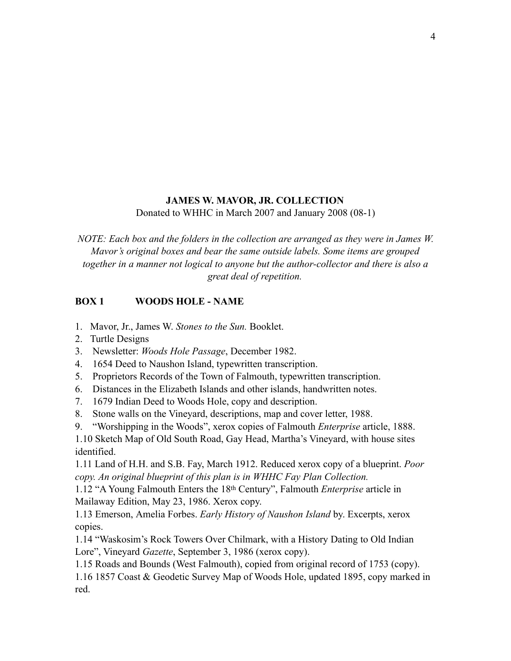Donated to WHHC in March 2007 and January 2008 (08-1)

*NOTE: Each box and the folders in the collection are arranged as they were in James W. Mavor's original boxes and bear the same outside labels. Some items are grouped together in a manner not logical to anyone but the author-collector and there is also a great deal of repetition.* 

# **BOX 1 WOODS HOLE - NAME**

- 1. Mavor, Jr., James W. *Stones to the Sun.* Booklet.
- 2. Turtle Designs
- 3. Newsletter: *Woods Hole Passage*, December 1982.
- 4. 1654 Deed to Naushon Island, typewritten transcription.
- 5. Proprietors Records of the Town of Falmouth, typewritten transcription.
- 6. Distances in the Elizabeth Islands and other islands, handwritten notes.
- 7. 1679 Indian Deed to Woods Hole, copy and description.
- 8. Stone walls on the Vineyard, descriptions, map and cover letter, 1988.
- 9. "Worshipping in the Woods", xerox copies of Falmouth *Enterprise* article, 1888.

1.10 Sketch Map of Old South Road, Gay Head, Martha's Vineyard, with house sites identified.

1.11 Land of H.H. and S.B. Fay, March 1912. Reduced xerox copy of a blueprint. *Poor copy. An original blueprint of this plan is in WHHC Fay Plan Collection.* 

1.12 "A Young Falmouth Enters the 18th Century", Falmouth *Enterprise* article in Mailaway Edition, May 23, 1986. Xerox copy.

1.13 Emerson, Amelia Forbes. *Early History of Naushon Island* by. Excerpts, xerox copies.

1.14 "Waskosim's Rock Towers Over Chilmark, with a History Dating to Old Indian Lore", Vineyard *Gazette*, September 3, 1986 (xerox copy).

1.15 Roads and Bounds (West Falmouth), copied from original record of 1753 (copy).

1.16 1857 Coast & Geodetic Survey Map of Woods Hole, updated 1895, copy marked in red.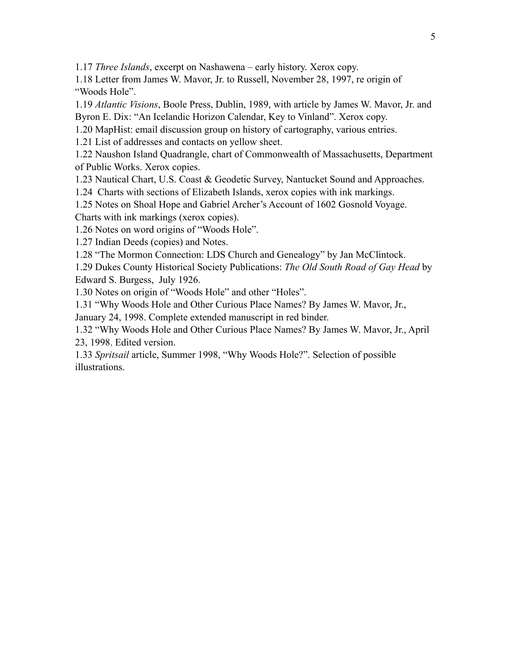1.17 *Three Islands*, excerpt on Nashawena – early history. Xerox copy.

1.18 Letter from James W. Mavor, Jr. to Russell, November 28, 1997, re origin of "Woods Hole".

1.19 *Atlantic Visions*, Boole Press, Dublin, 1989, with article by James W. Mavor, Jr. and Byron E. Dix: "An Icelandic Horizon Calendar, Key to Vinland". Xerox copy.

1.20 MapHist: email discussion group on history of cartography, various entries.

1.21 List of addresses and contacts on yellow sheet.

1.22 Naushon Island Quadrangle, chart of Commonwealth of Massachusetts, Department of Public Works. Xerox copies.

1.23 Nautical Chart, U.S. Coast & Geodetic Survey, Nantucket Sound and Approaches.

1.24 Charts with sections of Elizabeth Islands, xerox copies with ink markings.

1.25 Notes on Shoal Hope and Gabriel Archer's Account of 1602 Gosnold Voyage.

Charts with ink markings (xerox copies).

1.26 Notes on word origins of "Woods Hole".

1.27 Indian Deeds (copies) and Notes.

1.28 "The Mormon Connection: LDS Church and Genealogy" by Jan McClintock.

1.29 Dukes County Historical Society Publications: *The Old South Road of Gay Head* by Edward S. Burgess, July 1926.

1.30 Notes on origin of "Woods Hole" and other "Holes".

1.31 "Why Woods Hole and Other Curious Place Names? By James W. Mavor, Jr.,

January 24, 1998. Complete extended manuscript in red binder.

1.32 "Why Woods Hole and Other Curious Place Names? By James W. Mavor, Jr., April 23, 1998. Edited version.

1.33 *Spritsail* article, Summer 1998, "Why Woods Hole?". Selection of possible illustrations.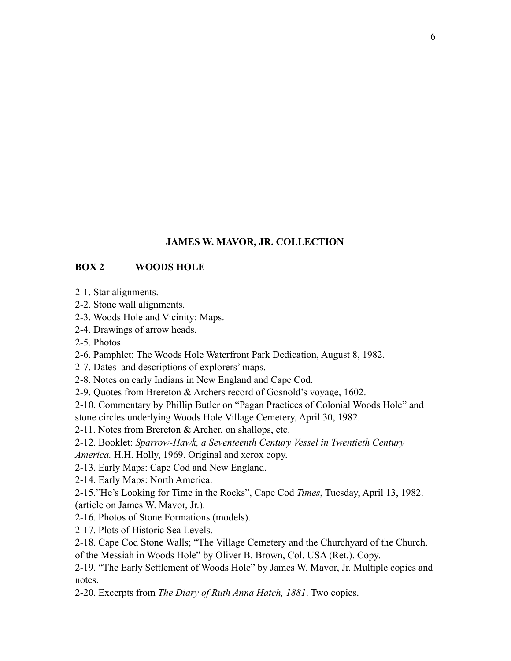## **BOX 2 WOODS HOLE**

- 2-1. Star alignments.
- 2-2. Stone wall alignments.
- 2-3. Woods Hole and Vicinity: Maps.
- 2-4. Drawings of arrow heads.
- 2-5. Photos.
- 2-6. Pamphlet: The Woods Hole Waterfront Park Dedication, August 8, 1982.
- 2-7. Dates and descriptions of explorers' maps.
- 2-8. Notes on early Indians in New England and Cape Cod.
- 2-9. Quotes from Brereton & Archers record of Gosnold's voyage, 1602.

2-10. Commentary by Phillip Butler on "Pagan Practices of Colonial Woods Hole" and stone circles underlying Woods Hole Village Cemetery, April 30, 1982.

2-11. Notes from Brereton  $&$  Archer, on shallops, etc.

2-12. Booklet: *Sparrow-Hawk, a Seventeenth Century Vessel in Twentieth Century America.* H.H. Holly, 1969. Original and xerox copy.

- 2-13. Early Maps: Cape Cod and New England.
- 2-14. Early Maps: North America.

2-15."He's Looking for Time in the Rocks", Cape Cod *Times*, Tuesday, April 13, 1982. (article on James W. Mavor, Jr.).

- 2-16. Photos of Stone Formations (models).
- 2-17. Plots of Historic Sea Levels.

2-18. Cape Cod Stone Walls; "The Village Cemetery and the Churchyard of the Church. of the Messiah in Woods Hole" by Oliver B. Brown, Col. USA (Ret.). Copy.

2-19. "The Early Settlement of Woods Hole" by James W. Mavor, Jr. Multiple copies and notes.

2-20. Excerpts from *The Diary of Ruth Anna Hatch, 1881*. Two copies.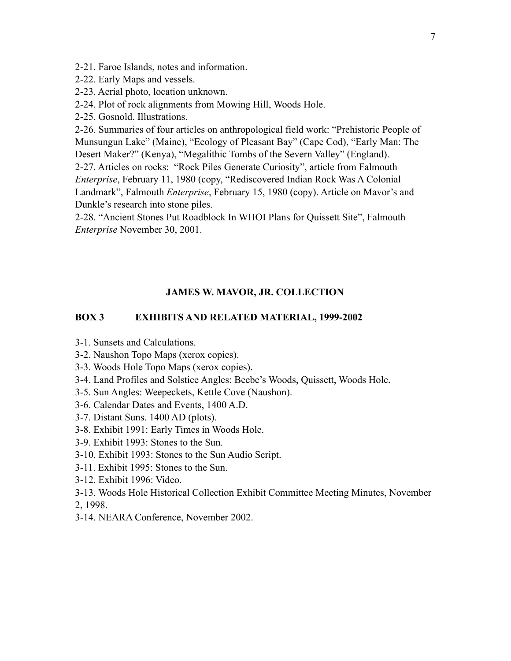- 2-21. Faroe Islands, notes and information.
- 2-22. Early Maps and vessels.
- 2-23. Aerial photo, location unknown.
- 2-24. Plot of rock alignments from Mowing Hill, Woods Hole.
- 2-25. Gosnold. Illustrations.

2-26. Summaries of four articles on anthropological field work: "Prehistoric People of Munsungun Lake" (Maine), "Ecology of Pleasant Bay" (Cape Cod), "Early Man: The Desert Maker?" (Kenya), "Megalithic Tombs of the Severn Valley" (England).

2-27. Articles on rocks: "Rock Piles Generate Curiosity", article from Falmouth *Enterprise*, February 11, 1980 (copy, "Rediscovered Indian Rock Was A Colonial Landmark", Falmouth *Enterprise*, February 15, 1980 (copy). Article on Mavor's and Dunkle's research into stone piles.

2-28. "Ancient Stones Put Roadblock In WHOI Plans for Quissett Site", Falmouth *Enterprise* November 30, 2001.

#### **JAMES W. MAVOR, JR. COLLECTION**

### **BOX 3 EXHIBITS AND RELATED MATERIAL, 1999-2002**

- 3-1. Sunsets and Calculations.
- 3-2. Naushon Topo Maps (xerox copies).
- 3-3. Woods Hole Topo Maps (xerox copies).
- 3-4. Land Profiles and Solstice Angles: Beebe's Woods, Quissett, Woods Hole.
- 3-5. Sun Angles: Weepeckets, Kettle Cove (Naushon).
- 3-6. Calendar Dates and Events, 1400 A.D.
- 3-7. Distant Suns. 1400 AD (plots).
- 3-8. Exhibit 1991: Early Times in Woods Hole.
- 3-9. Exhibit 1993: Stones to the Sun.
- 3-10. Exhibit 1993: Stones to the Sun Audio Script.
- 3-11. Exhibit 1995: Stones to the Sun.
- 3-12. Exhibit 1996: Video.
- 3-13. Woods Hole Historical Collection Exhibit Committee Meeting Minutes, November

2, 1998.

3-14. NEARA Conference, November 2002.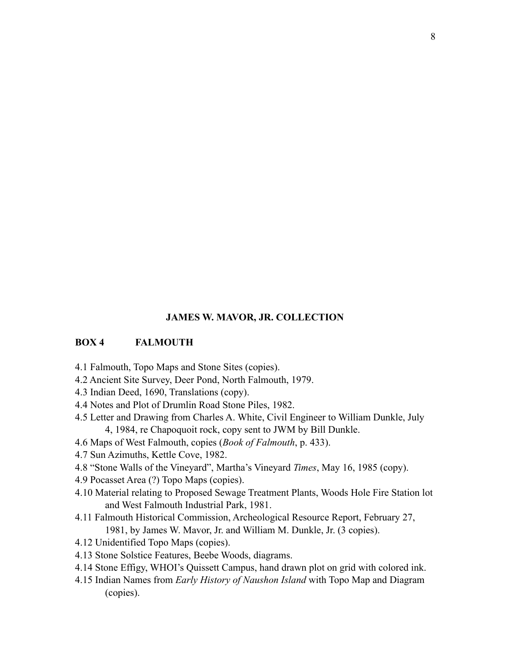#### **BOX 4 FALMOUTH**

- 4.1 Falmouth, Topo Maps and Stone Sites (copies).
- 4.2 Ancient Site Survey, Deer Pond, North Falmouth, 1979.
- 4.3 Indian Deed, 1690, Translations (copy).
- 4.4 Notes and Plot of Drumlin Road Stone Piles, 1982.
- 4.5 Letter and Drawing from Charles A. White, Civil Engineer to William Dunkle, July 4, 1984, re Chapoquoit rock, copy sent to JWM by Bill Dunkle.
- 4.6 Maps of West Falmouth, copies (*Book of Falmouth*, p. 433).
- 4.7 Sun Azimuths, Kettle Cove, 1982.
- 4.8 "Stone Walls of the Vineyard", Martha's Vineyard *Times*, May 16, 1985 (copy).
- 4.9 Pocasset Area (?) Topo Maps (copies).
- 4.10 Material relating to Proposed Sewage Treatment Plants, Woods Hole Fire Station lot and West Falmouth Industrial Park, 1981.
- 4.11 Falmouth Historical Commission, Archeological Resource Report, February 27, 1981, by James W. Mavor, Jr. and William M. Dunkle, Jr. (3 copies).
- 4.12 Unidentified Topo Maps (copies).
- 4.13 Stone Solstice Features, Beebe Woods, diagrams.
- 4.14 Stone Effigy, WHOI's Quissett Campus, hand drawn plot on grid with colored ink.
- 4.15 Indian Names from *Early History of Naushon Island* with Topo Map and Diagram (copies).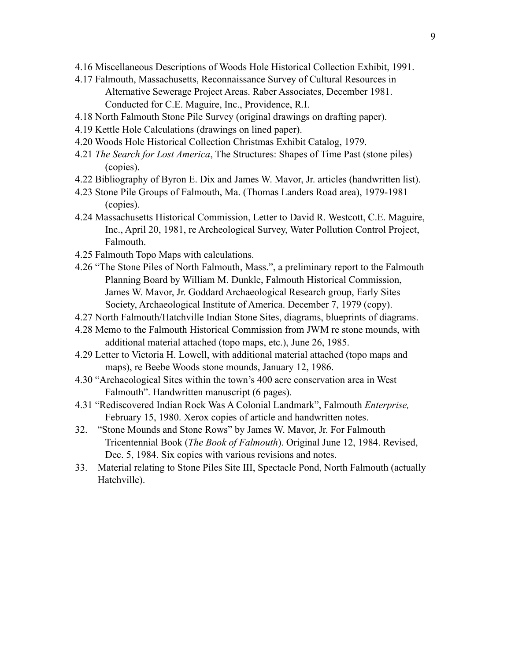- 4.16 Miscellaneous Descriptions of Woods Hole Historical Collection Exhibit, 1991.
- 4.17 Falmouth, Massachusetts, Reconnaissance Survey of Cultural Resources in Alternative Sewerage Project Areas. Raber Associates, December 1981. Conducted for C.E. Maguire, Inc., Providence, R.I.
- 4.18 North Falmouth Stone Pile Survey (original drawings on drafting paper).
- 4.19 Kettle Hole Calculations (drawings on lined paper).
- 4.20 Woods Hole Historical Collection Christmas Exhibit Catalog, 1979.
- 4.21 *The Search for Lost America*, The Structures: Shapes of Time Past (stone piles) (copies).
- 4.22 Bibliography of Byron E. Dix and James W. Mavor, Jr. articles (handwritten list).
- 4.23 Stone Pile Groups of Falmouth, Ma. (Thomas Landers Road area), 1979-1981 (copies).
- 4.24 Massachusetts Historical Commission, Letter to David R. Westcott, C.E. Maguire, Inc., April 20, 1981, re Archeological Survey, Water Pollution Control Project, Falmouth.
- 4.25 Falmouth Topo Maps with calculations.
- 4.26 "The Stone Piles of North Falmouth, Mass.", a preliminary report to the Falmouth Planning Board by William M. Dunkle, Falmouth Historical Commission, James W. Mavor, Jr. Goddard Archaeological Research group, Early Sites Society, Archaeological Institute of America. December 7, 1979 (copy).
- 4.27 North Falmouth/Hatchville Indian Stone Sites, diagrams, blueprints of diagrams.
- 4.28 Memo to the Falmouth Historical Commission from JWM re stone mounds, with additional material attached (topo maps, etc.), June 26, 1985.
- 4.29 Letter to Victoria H. Lowell, with additional material attached (topo maps and maps), re Beebe Woods stone mounds, January 12, 1986.
- 4.30 "Archaeological Sites within the town's 400 acre conservation area in West Falmouth". Handwritten manuscript (6 pages).
- 4.31 "Rediscovered Indian Rock Was A Colonial Landmark", Falmouth *Enterprise,* February 15, 1980. Xerox copies of article and handwritten notes.
- 32. "Stone Mounds and Stone Rows" by James W. Mavor, Jr. For Falmouth Tricentennial Book (*The Book of Falmouth*). Original June 12, 1984. Revised, Dec. 5, 1984. Six copies with various revisions and notes.
- 33. Material relating to Stone Piles Site III, Spectacle Pond, North Falmouth (actually Hatchville).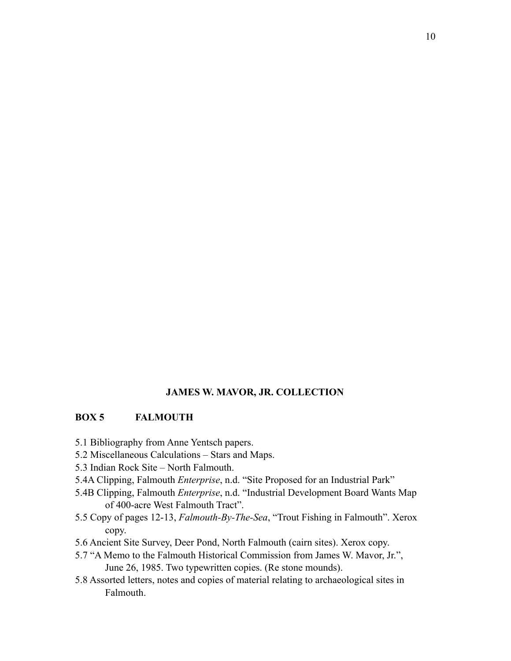## **BOX 5 FALMOUTH**

- 5.1 Bibliography from Anne Yentsch papers.
- 5.2 Miscellaneous Calculations Stars and Maps.
- 5.3 Indian Rock Site North Falmouth.
- 5.4A Clipping, Falmouth *Enterprise*, n.d. "Site Proposed for an Industrial Park"
- 5.4B Clipping, Falmouth *Enterprise*, n.d. "Industrial Development Board Wants Map of 400-acre West Falmouth Tract".
- 5.5 Copy of pages 12-13, *Falmouth-By-The-Sea*, "Trout Fishing in Falmouth". Xerox copy.
- 5.6 Ancient Site Survey, Deer Pond, North Falmouth (cairn sites). Xerox copy.
- 5.7 "A Memo to the Falmouth Historical Commission from James W. Mavor, Jr.", June 26, 1985. Two typewritten copies. (Re stone mounds).
- 5.8 Assorted letters, notes and copies of material relating to archaeological sites in Falmouth.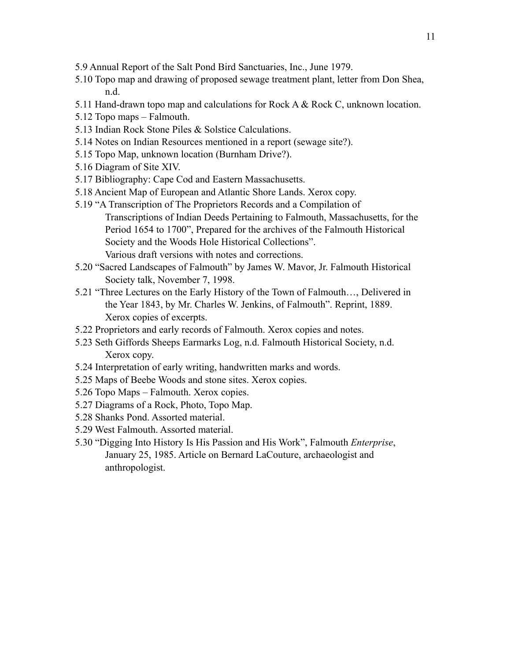- 5.9 Annual Report of the Salt Pond Bird Sanctuaries, Inc., June 1979.
- 5.10 Topo map and drawing of proposed sewage treatment plant, letter from Don Shea, n.d.
- 5.11 Hand-drawn topo map and calculations for Rock A & Rock C, unknown location.
- 5.12 Topo maps Falmouth.
- 5.13 Indian Rock Stone Piles & Solstice Calculations.
- 5.14 Notes on Indian Resources mentioned in a report (sewage site?).
- 5.15 Topo Map, unknown location (Burnham Drive?).
- 5.16 Diagram of Site XIV.
- 5.17 Bibliography: Cape Cod and Eastern Massachusetts.
- 5.18 Ancient Map of European and Atlantic Shore Lands. Xerox copy.
- 5.19 "A Transcription of The Proprietors Records and a Compilation of Transcriptions of Indian Deeds Pertaining to Falmouth, Massachusetts, for the Period 1654 to 1700", Prepared for the archives of the Falmouth Historical Society and the Woods Hole Historical Collections". Various draft versions with notes and corrections.
- 5.20 "Sacred Landscapes of Falmouth" by James W. Mavor, Jr. Falmouth Historical Society talk, November 7, 1998.
- 5.21 "Three Lectures on the Early History of the Town of Falmouth…, Delivered in the Year 1843, by Mr. Charles W. Jenkins, of Falmouth". Reprint, 1889. Xerox copies of excerpts.
- 5.22 Proprietors and early records of Falmouth. Xerox copies and notes.
- 5.23 Seth Giffords Sheeps Earmarks Log, n.d. Falmouth Historical Society, n.d. Xerox copy.
- 5.24 Interpretation of early writing, handwritten marks and words.
- 5.25 Maps of Beebe Woods and stone sites. Xerox copies.
- 5.26 Topo Maps Falmouth. Xerox copies.
- 5.27 Diagrams of a Rock, Photo, Topo Map.
- 5.28 Shanks Pond. Assorted material.
- 5.29 West Falmouth. Assorted material.
- 5.30 "Digging Into History Is His Passion and His Work", Falmouth *Enterprise*, January 25, 1985. Article on Bernard LaCouture, archaeologist and anthropologist.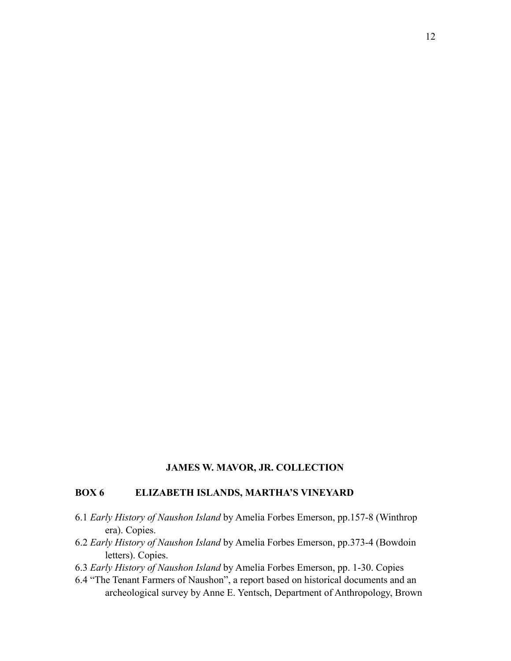### **BOX 6 ELIZABETH ISLANDS, MARTHA'S VINEYARD**

- 6.1 *Early History of Naushon Island* by Amelia Forbes Emerson, pp.157-8 (Winthrop era). Copies.
- 6.2 *Early History of Naushon Island* by Amelia Forbes Emerson, pp.373-4 (Bowdoin letters). Copies.
- 6.3 *Early History of Naushon Island* by Amelia Forbes Emerson, pp. 1-30. Copies
- 6.4 "The Tenant Farmers of Naushon", a report based on historical documents and an archeological survey by Anne E. Yentsch, Department of Anthropology, Brown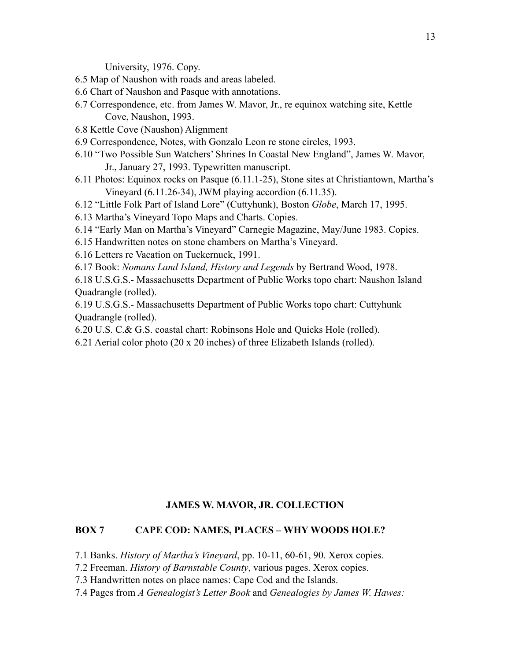University, 1976. Copy.

- 6.5 Map of Naushon with roads and areas labeled.
- 6.6 Chart of Naushon and Pasque with annotations.
- 6.7 Correspondence, etc. from James W. Mavor, Jr., re equinox watching site, Kettle Cove, Naushon, 1993.
- 6.8 Kettle Cove (Naushon) Alignment
- 6.9 Correspondence, Notes, with Gonzalo Leon re stone circles, 1993.
- 6.10 "Two Possible Sun Watchers' Shrines In Coastal New England", James W. Mavor, Jr., January 27, 1993. Typewritten manuscript.
- 6.11 Photos: Equinox rocks on Pasque (6.11.1-25), Stone sites at Christiantown, Martha's Vineyard (6.11.26-34), JWM playing accordion (6.11.35).
- 6.12 "Little Folk Part of Island Lore" (Cuttyhunk), Boston *Globe*, March 17, 1995.
- 6.13 Martha's Vineyard Topo Maps and Charts. Copies.
- 6.14 "Early Man on Martha's Vineyard" Carnegie Magazine, May/June 1983. Copies.
- 6.15 Handwritten notes on stone chambers on Martha's Vineyard.
- 6.16 Letters re Vacation on Tuckernuck, 1991.

6.17 Book: *Nomans Land Island, History and Legends* by Bertrand Wood, 1978.

6.18 U.S.G.S.- Massachusetts Department of Public Works topo chart: Naushon Island Quadrangle (rolled).

6.19 U.S.G.S.- Massachusetts Department of Public Works topo chart: Cuttyhunk Quadrangle (rolled).

- 6.20 U.S. C.& G.S. coastal chart: Robinsons Hole and Quicks Hole (rolled).
- 6.21 Aerial color photo (20 x 20 inches) of three Elizabeth Islands (rolled).

## **JAMES W. MAVOR, JR. COLLECTION**

## **BOX 7 CAPE COD: NAMES, PLACES – WHY WOODS HOLE?**

7.1 Banks. *History of Martha's Vineyard*, pp. 10-11, 60-61, 90. Xerox copies.

- 7.2 Freeman. *History of Barnstable County*, various pages. Xerox copies.
- 7.3 Handwritten notes on place names: Cape Cod and the Islands.
- 7.4 Pages from *A Genealogist's Letter Book* and *Genealogies by James W. Hawes:*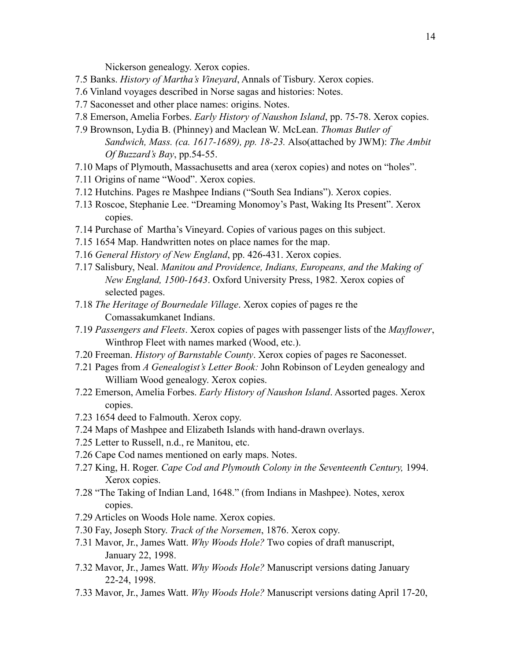Nickerson genealogy. Xerox copies.

- 7.5 Banks. *History of Martha's Vineyard*, Annals of Tisbury. Xerox copies.
- 7.6 Vinland voyages described in Norse sagas and histories: Notes.
- 7.7 Saconesset and other place names: origins. Notes.
- 7.8 Emerson, Amelia Forbes. *Early History of Naushon Island*, pp. 75-78. Xerox copies.
- 7.9 Brownson, Lydia B. (Phinney) and Maclean W. McLean. *Thomas Butler of Sandwich, Mass. (ca. 1617-1689), pp. 18-23.* Also(attached by JWM): *The Ambit Of Buzzard's Bay*, pp.54-55.
- 7.10 Maps of Plymouth, Massachusetts and area (xerox copies) and notes on "holes".
- 7.11 Origins of name "Wood". Xerox copies.
- 7.12 Hutchins. Pages re Mashpee Indians ("South Sea Indians"). Xerox copies.
- 7.13 Roscoe, Stephanie Lee. "Dreaming Monomoy's Past, Waking Its Present". Xerox copies.
- 7.14 Purchase of Martha's Vineyard. Copies of various pages on this subject.
- 7.15 1654 Map. Handwritten notes on place names for the map.
- 7.16 *General History of New England*, pp. 426-431. Xerox copies.
- 7.17 Salisbury, Neal. *Manitou and Providence, Indians, Europeans, and the Making of New England, 1500-1643*. Oxford University Press, 1982. Xerox copies of selected pages.
- 7.18 *The Heritage of Bournedale Village*. Xerox copies of pages re the Comassakumkanet Indians.
- 7.19 *Passengers and Fleets*. Xerox copies of pages with passenger lists of the *Mayflower*, Winthrop Fleet with names marked (Wood, etc.).
- 7.20 Freeman. *History of Barnstable County*. Xerox copies of pages re Saconesset.
- 7.21 Pages from *A Genealogist's Letter Book:* John Robinson of Leyden genealogy and William Wood genealogy. Xerox copies.
- 7.22 Emerson, Amelia Forbes. *Early History of Naushon Island*. Assorted pages. Xerox copies.
- 7.23 1654 deed to Falmouth. Xerox copy.
- 7.24 Maps of Mashpee and Elizabeth Islands with hand-drawn overlays.
- 7.25 Letter to Russell, n.d., re Manitou, etc.
- 7.26 Cape Cod names mentioned on early maps. Notes.
- 7.27 King, H. Roger. *Cape Cod and Plymouth Colony in the Seventeenth Century,* 1994. Xerox copies.
- 7.28 "The Taking of Indian Land, 1648." (from Indians in Mashpee). Notes, xerox copies.
- 7.29 Articles on Woods Hole name. Xerox copies.
- 7.30 Fay, Joseph Story. *Track of the Norsemen*, 1876. Xerox copy.
- 7.31 Mavor, Jr., James Watt. *Why Woods Hole?* Two copies of draft manuscript, January 22, 1998.
- 7.32 Mavor, Jr., James Watt. *Why Woods Hole?* Manuscript versions dating January 22-24, 1998.
- 7.33 Mavor, Jr., James Watt. *Why Woods Hole?* Manuscript versions dating April 17-20,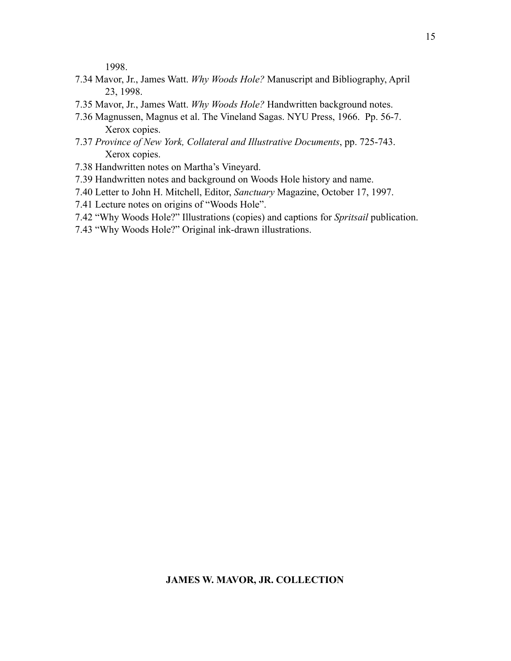1998.

- 7.34 Mavor, Jr., James Watt. *Why Woods Hole?* Manuscript and Bibliography, April 23, 1998.
- 7.35 Mavor, Jr., James Watt. *Why Woods Hole?* Handwritten background notes.
- 7.36 Magnussen, Magnus et al. The Vineland Sagas. NYU Press, 1966. Pp. 56-7. Xerox copies.
- 7.37 *Province of New York, Collateral and Illustrative Documents*, pp. 725-743. Xerox copies.
- 7.38 Handwritten notes on Martha's Vineyard.
- 7.39 Handwritten notes and background on Woods Hole history and name.
- 7.40 Letter to John H. Mitchell, Editor, *Sanctuary* Magazine, October 17, 1997.
- 7.41 Lecture notes on origins of "Woods Hole".
- 7.42 "Why Woods Hole?" Illustrations (copies) and captions for *Spritsail* publication.
- 7.43 "Why Woods Hole?" Original ink-drawn illustrations.

### **JAMES W. MAVOR, JR. COLLECTION**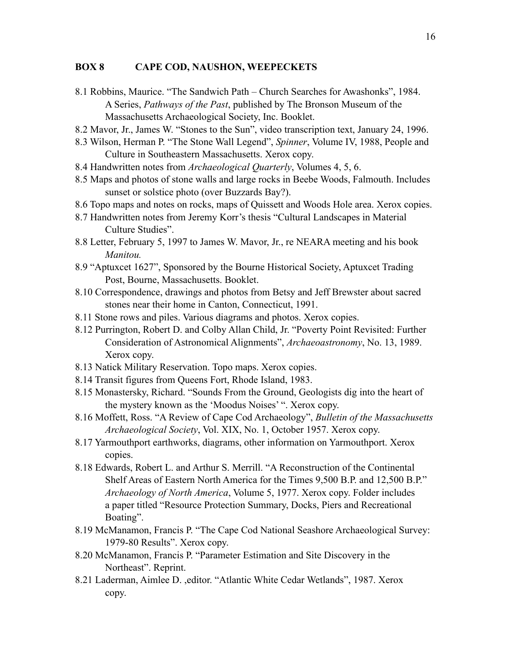## **BOX 8 CAPE COD, NAUSHON, WEEPECKETS**

- 8.1 Robbins, Maurice. "The Sandwich Path Church Searches for Awashonks", 1984. A Series, *Pathways of the Past*, published by The Bronson Museum of the Massachusetts Archaeological Society, Inc. Booklet.
- 8.2 Mavor, Jr., James W. "Stones to the Sun", video transcription text, January 24, 1996.
- 8.3 Wilson, Herman P. "The Stone Wall Legend", *Spinner*, Volume IV, 1988, People and Culture in Southeastern Massachusetts. Xerox copy.
- 8.4 Handwritten notes from *Archaeological Quarterly*, Volumes 4, 5, 6.
- 8.5 Maps and photos of stone walls and large rocks in Beebe Woods, Falmouth. Includes sunset or solstice photo (over Buzzards Bay?).
- 8.6 Topo maps and notes on rocks, maps of Quissett and Woods Hole area. Xerox copies.
- 8.7 Handwritten notes from Jeremy Korr's thesis "Cultural Landscapes in Material Culture Studies".
- 8.8 Letter, February 5, 1997 to James W. Mavor, Jr., re NEARA meeting and his book *Manitou.*
- 8.9 "Aptuxcet 1627", Sponsored by the Bourne Historical Society, Aptuxcet Trading Post, Bourne, Massachusetts. Booklet.
- 8.10 Correspondence, drawings and photos from Betsy and Jeff Brewster about sacred stones near their home in Canton, Connecticut, 1991.
- 8.11 Stone rows and piles. Various diagrams and photos. Xerox copies.
- 8.12 Purrington, Robert D. and Colby Allan Child, Jr. "Poverty Point Revisited: Further Consideration of Astronomical Alignments", *Archaeoastronomy*, No. 13, 1989. Xerox copy.
- 8.13 Natick Military Reservation. Topo maps. Xerox copies.
- 8.14 Transit figures from Queens Fort, Rhode Island, 1983.
- 8.15 Monastersky, Richard. "Sounds From the Ground, Geologists dig into the heart of the mystery known as the 'Moodus Noises' ". Xerox copy.
- 8.16 Moffett, Ross. "A Review of Cape Cod Archaeology", *Bulletin of the Massachusetts Archaeological Society*, Vol. XIX, No. 1, October 1957. Xerox copy.
- 8.17 Yarmouthport earthworks, diagrams, other information on Yarmouthport. Xerox copies.
- 8.18 Edwards, Robert L. and Arthur S. Merrill. "A Reconstruction of the Continental Shelf Areas of Eastern North America for the Times 9,500 B.P. and 12,500 B.P." *Archaeology of North America*, Volume 5, 1977. Xerox copy. Folder includes a paper titled "Resource Protection Summary, Docks, Piers and Recreational Boating".
- 8.19 McManamon, Francis P. "The Cape Cod National Seashore Archaeological Survey: 1979-80 Results". Xerox copy.
- 8.20 McManamon, Francis P. "Parameter Estimation and Site Discovery in the Northeast". Reprint.
- 8.21 Laderman, Aimlee D. ,editor. "Atlantic White Cedar Wetlands", 1987. Xerox copy.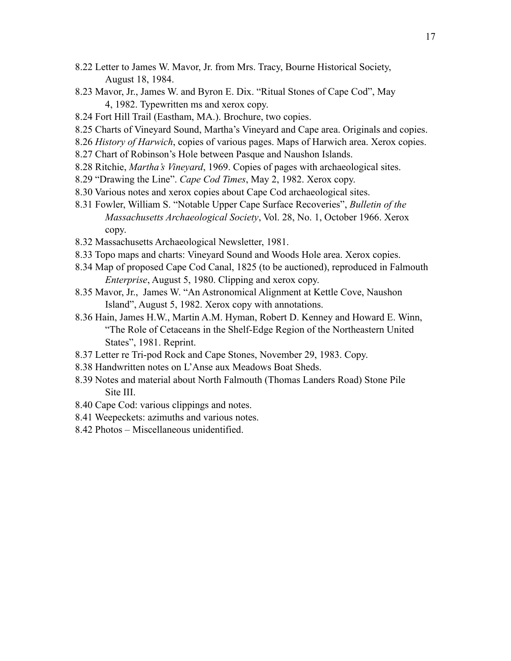- 8.22 Letter to James W. Mavor, Jr. from Mrs. Tracy, Bourne Historical Society, August 18, 1984.
- 8.23 Mavor, Jr., James W. and Byron E. Dix. "Ritual Stones of Cape Cod", May 4, 1982. Typewritten ms and xerox copy.
- 8.24 Fort Hill Trail (Eastham, MA.). Brochure, two copies.
- 8.25 Charts of Vineyard Sound, Martha's Vineyard and Cape area. Originals and copies.
- 8.26 *History of Harwich*, copies of various pages. Maps of Harwich area. Xerox copies.
- 8.27 Chart of Robinson's Hole between Pasque and Naushon Islands.
- 8.28 Ritchie, *Martha's Vineyard*, 1969. Copies of pages with archaeological sites.
- 8.29 "Drawing the Line". *Cape Cod Times*, May 2, 1982. Xerox copy.
- 8.30 Various notes and xerox copies about Cape Cod archaeological sites.
- 8.31 Fowler, William S. "Notable Upper Cape Surface Recoveries", *Bulletin of the Massachusetts Archaeological Society*, Vol. 28, No. 1, October 1966. Xerox copy.
- 8.32 Massachusetts Archaeological Newsletter, 1981.
- 8.33 Topo maps and charts: Vineyard Sound and Woods Hole area. Xerox copies.
- 8.34 Map of proposed Cape Cod Canal, 1825 (to be auctioned), reproduced in Falmouth *Enterprise*, August 5, 1980. Clipping and xerox copy.
- 8.35 Mavor, Jr., James W. "An Astronomical Alignment at Kettle Cove, Naushon Island", August 5, 1982. Xerox copy with annotations.
- 8.36 Hain, James H.W., Martin A.M. Hyman, Robert D. Kenney and Howard E. Winn, "The Role of Cetaceans in the Shelf-Edge Region of the Northeastern United States", 1981. Reprint.
- 8.37 Letter re Tri-pod Rock and Cape Stones, November 29, 1983. Copy.
- 8.38 Handwritten notes on L'Anse aux Meadows Boat Sheds.
- 8.39 Notes and material about North Falmouth (Thomas Landers Road) Stone Pile Site III.
- 8.40 Cape Cod: various clippings and notes.
- 8.41 Weepeckets: azimuths and various notes.
- 8.42 Photos Miscellaneous unidentified.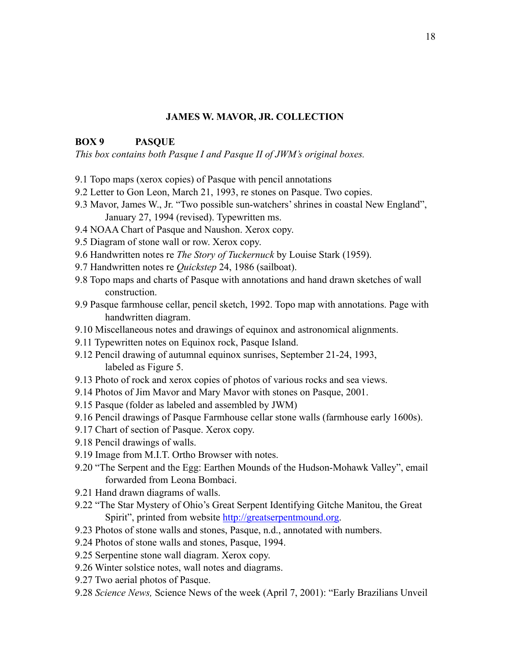### **BOX 9 PASQUE**

*This box contains both Pasque I and Pasque II of JWM's original boxes.* 

- 9.1 Topo maps (xerox copies) of Pasque with pencil annotations
- 9.2 Letter to Gon Leon, March 21, 1993, re stones on Pasque. Two copies.
- 9.3 Mavor, James W., Jr. "Two possible sun-watchers' shrines in coastal New England", January 27, 1994 (revised). Typewritten ms.
- 9.4 NOAA Chart of Pasque and Naushon. Xerox copy.
- 9.5 Diagram of stone wall or row. Xerox copy.
- 9.6 Handwritten notes re *The Story of Tuckernuck* by Louise Stark (1959).
- 9.7 Handwritten notes re *Quickstep* 24, 1986 (sailboat).
- 9.8 Topo maps and charts of Pasque with annotations and hand drawn sketches of wall construction.
- 9.9 Pasque farmhouse cellar, pencil sketch, 1992. Topo map with annotations. Page with handwritten diagram.
- 9.10 Miscellaneous notes and drawings of equinox and astronomical alignments.
- 9.11 Typewritten notes on Equinox rock, Pasque Island.
- 9.12 Pencil drawing of autumnal equinox sunrises, September 21-24, 1993, labeled as Figure 5.
- 9.13 Photo of rock and xerox copies of photos of various rocks and sea views.
- 9.14 Photos of Jim Mavor and Mary Mavor with stones on Pasque, 2001.
- 9.15 Pasque (folder as labeled and assembled by JWM)
- 9.16 Pencil drawings of Pasque Farmhouse cellar stone walls (farmhouse early 1600s).
- 9.17 Chart of section of Pasque. Xerox copy.
- 9.18 Pencil drawings of walls.
- 9.19 Image from M.I.T. Ortho Browser with notes.
- 9.20 "The Serpent and the Egg: Earthen Mounds of the Hudson-Mohawk Valley", email forwarded from Leona Bombaci.
- 9.21 Hand drawn diagrams of walls.
- 9.22 "The Star Mystery of Ohio's Great Serpent Identifying Gitche Manitou, the Great Spirit", printed from website <http://greatserpentmound.org>.
- 9.23 Photos of stone walls and stones, Pasque, n.d., annotated with numbers.
- 9.24 Photos of stone walls and stones, Pasque, 1994.
- 9.25 Serpentine stone wall diagram. Xerox copy.
- 9.26 Winter solstice notes, wall notes and diagrams.
- 9.27 Two aerial photos of Pasque.
- 9.28 *Science News,* Science News of the week (April 7, 2001): "Early Brazilians Unveil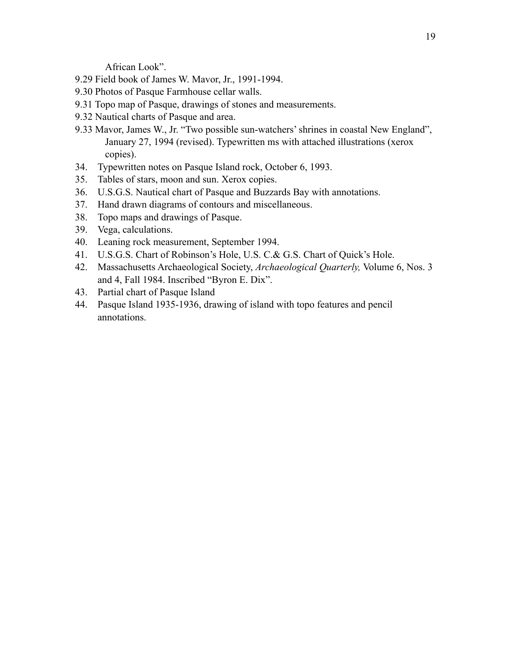African Look".

- 9.29 Field book of James W. Mavor, Jr., 1991-1994.
- 9.30 Photos of Pasque Farmhouse cellar walls.
- 9.31 Topo map of Pasque, drawings of stones and measurements.
- 9.32 Nautical charts of Pasque and area.
- 9.33 Mavor, James W., Jr. "Two possible sun-watchers' shrines in coastal New England", January 27, 1994 (revised). Typewritten ms with attached illustrations (xerox copies).
- 34. Typewritten notes on Pasque Island rock, October 6, 1993.
- 35. Tables of stars, moon and sun. Xerox copies.
- 36. U.S.G.S. Nautical chart of Pasque and Buzzards Bay with annotations.
- 37. Hand drawn diagrams of contours and miscellaneous.
- 38. Topo maps and drawings of Pasque.
- 39. Vega, calculations.
- 40. Leaning rock measurement, September 1994.
- 41. U.S.G.S. Chart of Robinson's Hole, U.S. C.& G.S. Chart of Quick's Hole.
- 42. Massachusetts Archaeological Society, *Archaeological Quarterly,* Volume 6, Nos. 3 and 4, Fall 1984. Inscribed "Byron E. Dix".
- 43. Partial chart of Pasque Island
- 44. Pasque Island 1935-1936, drawing of island with topo features and pencil annotations.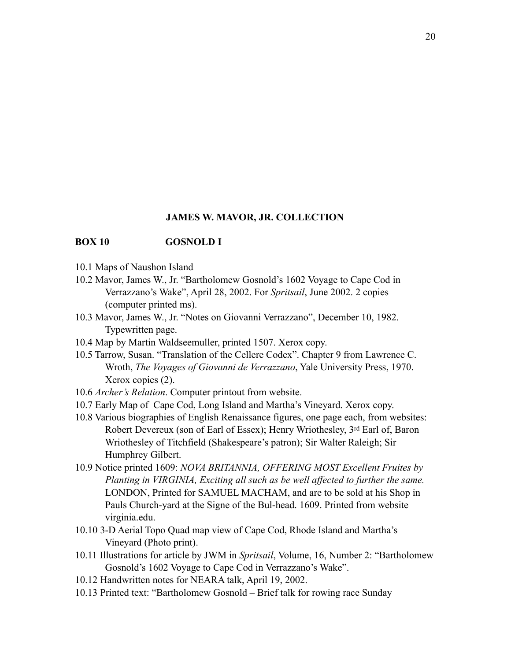#### **BOX 10 GOSNOLD I**

- 10.1 Maps of Naushon Island
- 10.2 Mavor, James W., Jr. "Bartholomew Gosnold's 1602 Voyage to Cape Cod in Verrazzano's Wake", April 28, 2002. For *Spritsail*, June 2002. 2 copies (computer printed ms).
- 10.3 Mavor, James W., Jr. "Notes on Giovanni Verrazzano", December 10, 1982. Typewritten page.
- 10.4 Map by Martin Waldseemuller, printed 1507. Xerox copy.
- 10.5 Tarrow, Susan. "Translation of the Cellere Codex". Chapter 9 from Lawrence C. Wroth, *The Voyages of Giovanni de Verrazzano*, Yale University Press, 1970. Xerox copies (2).
- 10.6 *Archer's Relation*. Computer printout from website.
- 10.7 Early Map of Cape Cod, Long Island and Martha's Vineyard. Xerox copy.
- 10.8 Various biographies of English Renaissance figures, one page each, from websites: Robert Devereux (son of Earl of Essex); Henry Wriothesley, 3rd Earl of, Baron Wriothesley of Titchfield (Shakespeare's patron); Sir Walter Raleigh; Sir Humphrey Gilbert.
- 10.9 Notice printed 1609: *NOVA BRITANNIA, OFFERING MOST Excellent Fruites by Planting in VIRGINIA, Exciting all such as be well affected to further the same.*  LONDON, Printed for SAMUEL MACHAM, and are to be sold at his Shop in Pauls Church-yard at the Signe of the Bul-head. 1609. Printed from website virginia.edu.
- 10.10 3-D Aerial Topo Quad map view of Cape Cod, Rhode Island and Martha's Vineyard (Photo print).
- 10.11 Illustrations for article by JWM in *Spritsail*, Volume, 16, Number 2: "Bartholomew Gosnold's 1602 Voyage to Cape Cod in Verrazzano's Wake".
- 10.12 Handwritten notes for NEARA talk, April 19, 2002.
- 10.13 Printed text: "Bartholomew Gosnold Brief talk for rowing race Sunday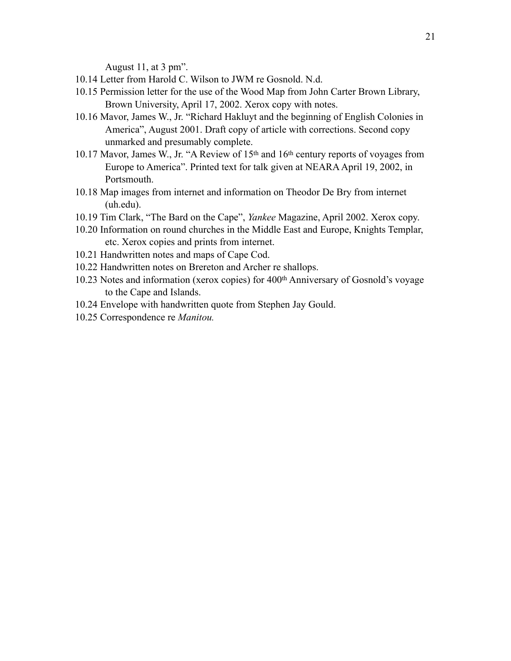August 11, at 3 pm".

- 10.14 Letter from Harold C. Wilson to JWM re Gosnold. N.d.
- 10.15 Permission letter for the use of the Wood Map from John Carter Brown Library, Brown University, April 17, 2002. Xerox copy with notes.
- 10.16 Mavor, James W., Jr. "Richard Hakluyt and the beginning of English Colonies in America", August 2001. Draft copy of article with corrections. Second copy unmarked and presumably complete.
- 10.17 Mavor, James W., Jr. "A Review of 15th and 16th century reports of voyages from Europe to America". Printed text for talk given at NEARA April 19, 2002, in Portsmouth.
- 10.18 Map images from internet and information on Theodor De Bry from internet (uh.edu).
- 10.19 Tim Clark, "The Bard on the Cape", *Yankee* Magazine, April 2002. Xerox copy.
- 10.20 Information on round churches in the Middle East and Europe, Knights Templar, etc. Xerox copies and prints from internet.
- 10.21 Handwritten notes and maps of Cape Cod.
- 10.22 Handwritten notes on Brereton and Archer re shallops.
- 10.23 Notes and information (xerox copies) for 400th Anniversary of Gosnold's voyage to the Cape and Islands.
- 10.24 Envelope with handwritten quote from Stephen Jay Gould.
- 10.25 Correspondence re *Manitou.*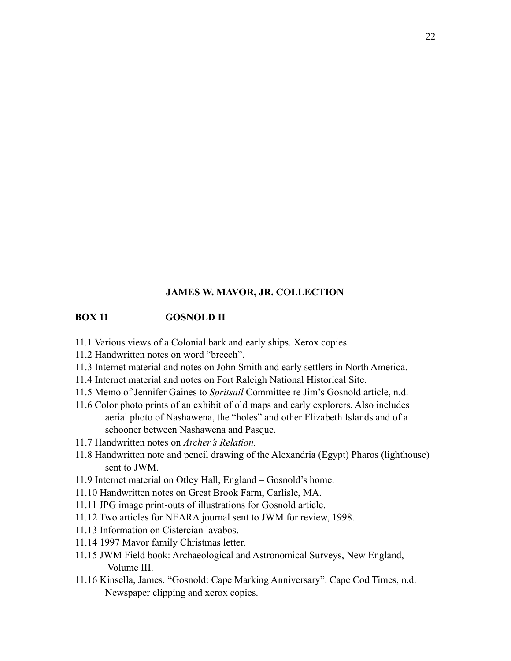## **BOX 11 GOSNOLD II**

- 11.1 Various views of a Colonial bark and early ships. Xerox copies.
- 11.2 Handwritten notes on word "breech".
- 11.3 Internet material and notes on John Smith and early settlers in North America.
- 11.4 Internet material and notes on Fort Raleigh National Historical Site.
- 11.5 Memo of Jennifer Gaines to *Spritsail* Committee re Jim's Gosnold article, n.d.
- 11.6 Color photo prints of an exhibit of old maps and early explorers. Also includes aerial photo of Nashawena, the "holes" and other Elizabeth Islands and of a schooner between Nashawena and Pasque.
- 11.7 Handwritten notes on *Archer's Relation.*
- 11.8 Handwritten note and pencil drawing of the Alexandria (Egypt) Pharos (lighthouse) sent to JWM.
- 11.9 Internet material on Otley Hall, England Gosnold's home.
- 11.10 Handwritten notes on Great Brook Farm, Carlisle, MA.
- 11.11 JPG image print-outs of illustrations for Gosnold article.
- 11.12 Two articles for NEARA journal sent to JWM for review, 1998.
- 11.13 Information on Cistercian lavabos.
- 11.14 1997 Mavor family Christmas letter.
- 11.15 JWM Field book: Archaeological and Astronomical Surveys, New England, Volume III.
- 11.16 Kinsella, James. "Gosnold: Cape Marking Anniversary". Cape Cod Times, n.d. Newspaper clipping and xerox copies.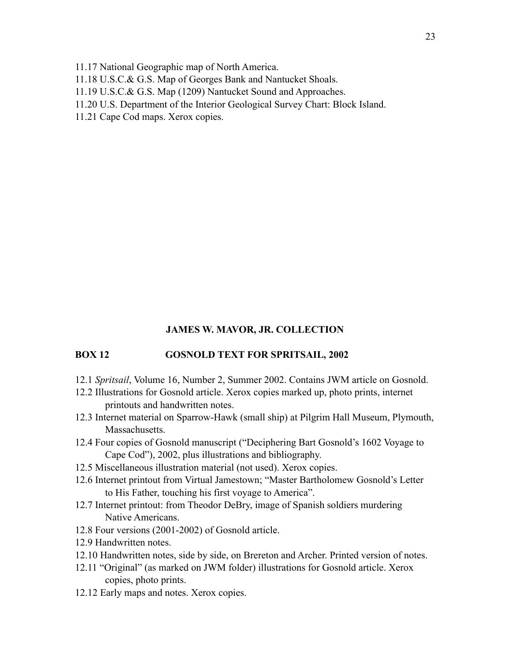11.17 National Geographic map of North America.

11.18 U.S.C.& G.S. Map of Georges Bank and Nantucket Shoals.

- 11.19 U.S.C.& G.S. Map (1209) Nantucket Sound and Approaches.
- 11.20 U.S. Department of the Interior Geological Survey Chart: Block Island.

11.21 Cape Cod maps. Xerox copies.

### **JAMES W. MAVOR, JR. COLLECTION**

## **BOX 12 GOSNOLD TEXT FOR SPRITSAIL, 2002**

- 12.1 *Spritsail*, Volume 16, Number 2, Summer 2002. Contains JWM article on Gosnold.
- 12.2 Illustrations for Gosnold article. Xerox copies marked up, photo prints, internet printouts and handwritten notes.
- 12.3 Internet material on Sparrow-Hawk (small ship) at Pilgrim Hall Museum, Plymouth, Massachusetts.
- 12.4 Four copies of Gosnold manuscript ("Deciphering Bart Gosnold's 1602 Voyage to Cape Cod"), 2002, plus illustrations and bibliography.
- 12.5 Miscellaneous illustration material (not used). Xerox copies.
- 12.6 Internet printout from Virtual Jamestown; "Master Bartholomew Gosnold's Letter to His Father, touching his first voyage to America".
- 12.7 Internet printout: from Theodor DeBry, image of Spanish soldiers murdering Native Americans.
- 12.8 Four versions (2001-2002) of Gosnold article.
- 12.9 Handwritten notes.
- 12.10 Handwritten notes, side by side, on Brereton and Archer. Printed version of notes.
- 12.11 "Original" (as marked on JWM folder) illustrations for Gosnold article. Xerox copies, photo prints.
- 12.12 Early maps and notes. Xerox copies.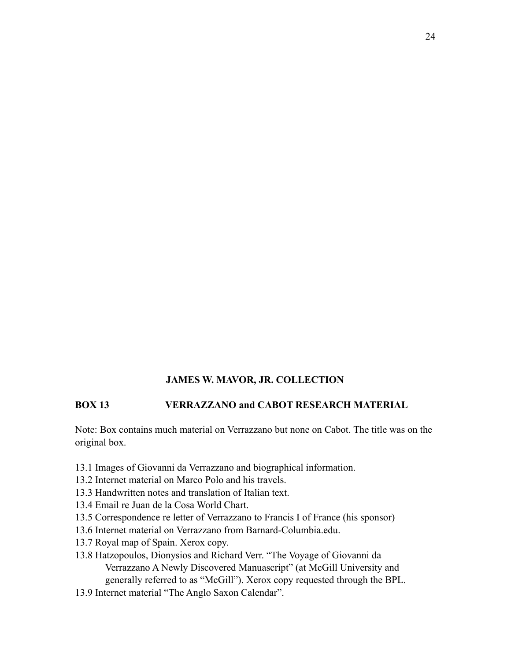## **BOX 13 VERRAZZANO and CABOT RESEARCH MATERIAL**

Note: Box contains much material on Verrazzano but none on Cabot. The title was on the original box.

- 13.1 Images of Giovanni da Verrazzano and biographical information.
- 13.2 Internet material on Marco Polo and his travels.
- 13.3 Handwritten notes and translation of Italian text.
- 13.4 Email re Juan de la Cosa World Chart.
- 13.5 Correspondence re letter of Verrazzano to Francis I of France (his sponsor)
- 13.6 Internet material on Verrazzano from Barnard-Columbia.edu.
- 13.7 Royal map of Spain. Xerox copy.
- 13.8 Hatzopoulos, Dionysios and Richard Verr. "The Voyage of Giovanni da Verrazzano A Newly Discovered Manuascript" (at McGill University and generally referred to as "McGill"). Xerox copy requested through the BPL.
- 13.9 Internet material "The Anglo Saxon Calendar".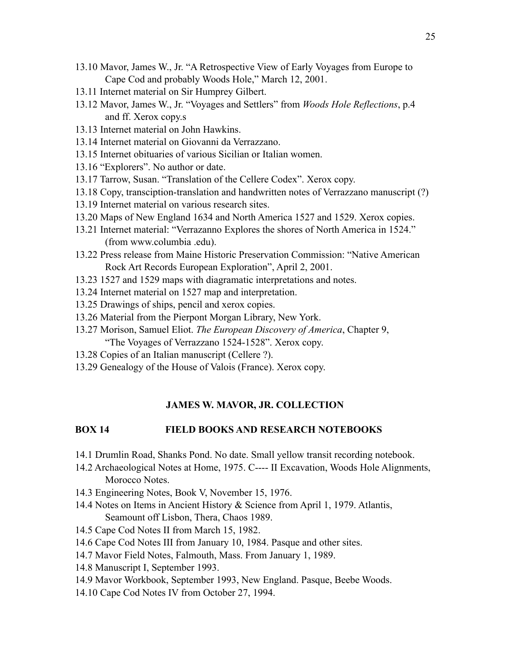- 13.10 Mavor, James W., Jr. "A Retrospective View of Early Voyages from Europe to Cape Cod and probably Woods Hole," March 12, 2001.
- 13.11 Internet material on Sir Humprey Gilbert.
- 13.12 Mavor, James W., Jr. "Voyages and Settlers" from *Woods Hole Reflections*, p.4 and ff. Xerox copy.s
- 13.13 Internet material on John Hawkins.
- 13.14 Internet material on Giovanni da Verrazzano.
- 13.15 Internet obituaries of various Sicilian or Italian women.
- 13.16 "Explorers". No author or date.
- 13.17 Tarrow, Susan. "Translation of the Cellere Codex". Xerox copy.
- 13.18 Copy, transciption-translation and handwritten notes of Verrazzano manuscript (?)
- 13.19 Internet material on various research sites.
- 13.20 Maps of New England 1634 and North America 1527 and 1529. Xerox copies.
- 13.21 Internet material: "Verrazanno Explores the shores of North America in 1524." (from www.columbia .edu).
- 13.22 Press release from Maine Historic Preservation Commission: "Native American Rock Art Records European Exploration", April 2, 2001.
- 13.23 1527 and 1529 maps with diagramatic interpretations and notes.
- 13.24 Internet material on 1527 map and interpretation.
- 13.25 Drawings of ships, pencil and xerox copies.
- 13.26 Material from the Pierpont Morgan Library, New York.
- 13.27 Morison, Samuel Eliot. *The European Discovery of America*, Chapter 9, "The Voyages of Verrazzano 1524-1528". Xerox copy.
- 13.28 Copies of an Italian manuscript (Cellere ?).
- 13.29 Genealogy of the House of Valois (France). Xerox copy.

### **BOX 14 FIELD BOOKS AND RESEARCH NOTEBOOKS**

- 14.1 Drumlin Road, Shanks Pond. No date. Small yellow transit recording notebook.
- 14.2 Archaeological Notes at Home, 1975. C---- II Excavation, Woods Hole Alignments, Morocco Notes.
- 14.3 Engineering Notes, Book V, November 15, 1976.
- 14.4 Notes on Items in Ancient History & Science from April 1, 1979. Atlantis, Seamount off Lisbon, Thera, Chaos 1989.
- 14.5 Cape Cod Notes II from March 15, 1982.
- 14.6 Cape Cod Notes III from January 10, 1984. Pasque and other sites.
- 14.7 Mavor Field Notes, Falmouth, Mass. From January 1, 1989.
- 14.8 Manuscript I, September 1993.
- 14.9 Mavor Workbook, September 1993, New England. Pasque, Beebe Woods.
- 14.10 Cape Cod Notes IV from October 27, 1994.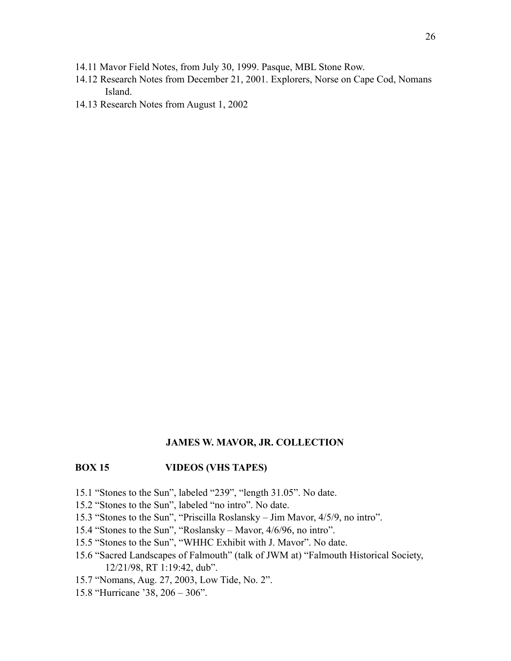- 14.11 Mavor Field Notes, from July 30, 1999. Pasque, MBL Stone Row.
- 14.12 Research Notes from December 21, 2001. Explorers, Norse on Cape Cod, Nomans Island.
- 14.13 Research Notes from August 1, 2002

#### **BOX 15 VIDEOS (VHS TAPES)**

- 15.1 "Stones to the Sun", labeled "239", "length 31.05". No date.
- 15.2 "Stones to the Sun", labeled "no intro". No date.
- 15.3 "Stones to the Sun", "Priscilla Roslansky Jim Mavor, 4/5/9, no intro".
- 15.4 "Stones to the Sun", "Roslansky Mavor, 4/6/96, no intro".
- 15.5 "Stones to the Sun", "WHHC Exhibit with J. Mavor". No date.
- 15.6 "Sacred Landscapes of Falmouth" (talk of JWM at) "Falmouth Historical Society, 12/21/98, RT 1:19:42, dub".
- 15.7 "Nomans, Aug. 27, 2003, Low Tide, No. 2".
- 15.8 "Hurricane '38, 206 306".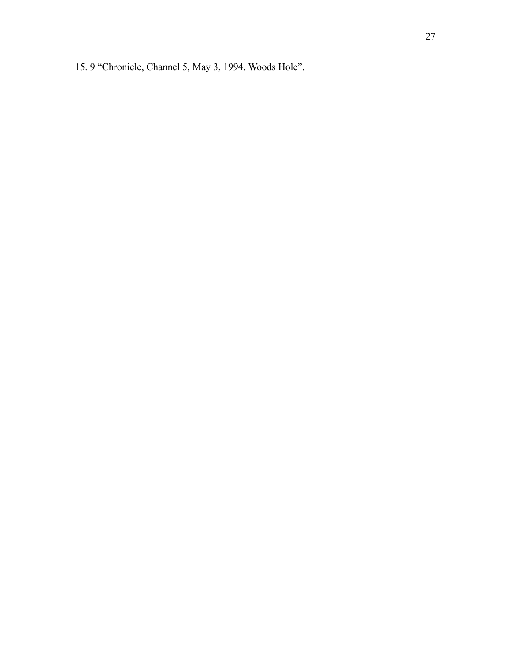15. 9 "Chronicle, Channel 5, May 3, 1994, Woods Hole".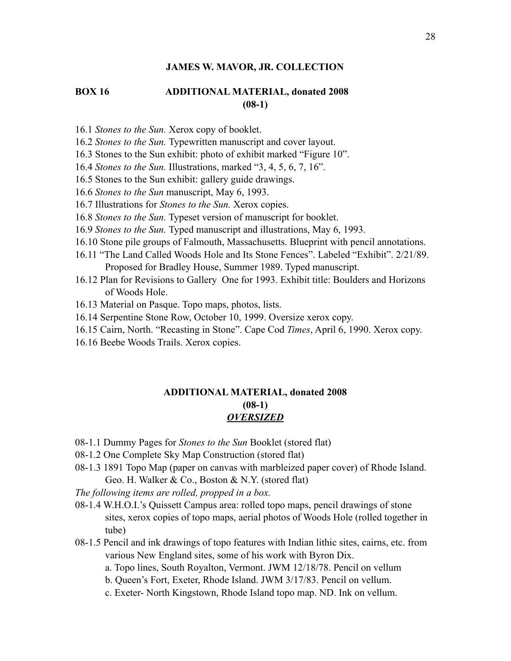# **BOX 16 ADDITIONAL MATERIAL, donated 2008 (08-1)**

- 16.1 *Stones to the Sun.* Xerox copy of booklet.
- 16.2 *Stones to the Sun.* Typewritten manuscript and cover layout.
- 16.3 Stones to the Sun exhibit: photo of exhibit marked "Figure 10".
- 16.4 *Stones to the Sun.* Illustrations, marked "3, 4, 5, 6, 7, 16".
- 16.5 Stones to the Sun exhibit: gallery guide drawings.
- 16.6 *Stones to the Sun* manuscript, May 6, 1993.
- 16.7 Illustrations for *Stones to the Sun.* Xerox copies.
- 16.8 *Stones to the Sun.* Typeset version of manuscript for booklet.
- 16.9 *Stones to the Sun.* Typed manuscript and illustrations, May 6, 1993.
- 16.10 Stone pile groups of Falmouth, Massachusetts. Blueprint with pencil annotations.
- 16.11 "The Land Called Woods Hole and Its Stone Fences". Labeled "Exhibit". 2/21/89. Proposed for Bradley House, Summer 1989. Typed manuscript.
- 16.12 Plan for Revisions to Gallery One for 1993. Exhibit title: Boulders and Horizons of Woods Hole.
- 16.13 Material on Pasque. Topo maps, photos, lists.
- 16.14 Serpentine Stone Row, October 10, 1999. Oversize xerox copy.
- 16.15 Cairn, North. "Recasting in Stone". Cape Cod *Times*, April 6, 1990. Xerox copy.
- 16.16 Beebe Woods Trails. Xerox copies.

## **ADDITIONAL MATERIAL, donated 2008 (08-1)**  *OVERSIZED*

- 08-1.1 Dummy Pages for *Stones to the Sun* Booklet (stored flat)
- 08-1.2 One Complete Sky Map Construction (stored flat)
- 08-1.3 1891 Topo Map (paper on canvas with marbleized paper cover) of Rhode Island. Geo. H. Walker & Co., Boston & N.Y. (stored flat)
- *The following items are rolled, propped in a box.*
- 08-1.4 W.H.O.I.'s Quissett Campus area: rolled topo maps, pencil drawings of stone sites, xerox copies of topo maps, aerial photos of Woods Hole (rolled together in tube)
- 08-1.5 Pencil and ink drawings of topo features with Indian lithic sites, cairns, etc. from various New England sites, some of his work with Byron Dix.
	- a. Topo lines, South Royalton, Vermont. JWM 12/18/78. Pencil on vellum
	- b. Queen's Fort, Exeter, Rhode Island. JWM 3/17/83. Pencil on vellum.
	- c. Exeter- North Kingstown, Rhode Island topo map. ND. Ink on vellum.